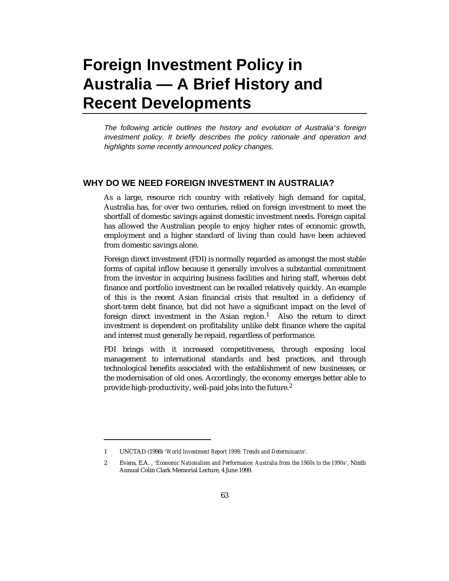# **Foreign Investment Policy in Australia — A Brief History and Recent Developments**

The following article outlines the history and evolution of Australia*'*s foreign investment policy. It briefly describes the policy rationale and operation and highlights some recently announced policy changes.

## **WHY DO WE NEED FOREIGN INVESTMENT IN AUSTRALIA?**

As a large, resource rich country with relatively high demand for capital, Australia has, for over two centuries, relied on foreign investment to meet the shortfall of domestic savings against domestic investment needs. Foreign capital has allowed the Australian people to enjoy higher rates of economic growth, employment and a higher standard of living than could have been achieved from domestic savings alone.

Foreign direct investment (FDI) is normally regarded as amongst the most stable forms of capital inflow because it generally involves a substantial commitment from the investor in acquiring business facilities and hiring staff, whereas debt finance and portfolio investment can be recalled relatively quickly. An example of this is the recent Asian financial crisis that resulted in a deficiency of short-term debt finance, but did not have a significant impact on the level of foreign direct investment in the Asian region.<sup>1</sup> Also the return to direct investment is dependent on profitability unlike debt finance where the capital and interest must generally be repaid, regardless of performance.

FDI brings with it increased competitiveness, through exposing local management to international standards and best practices, and through technological benefits associated with the establishment of new businesses, or the modernisation of old ones. Accordingly, the economy emerges better able to provide high-productivity, well-paid jobs into the future.<sup>2</sup>

-

<sup>1</sup> UNCTAD (1998) '*World Investment Report 1998: Trends and Determinants*'.

<sup>2</sup> Evans, E.A. , '*Economic Nationalism and Performance: Australia from the 1960s to the 1990s*', Ninth Annual Colin Clark Memorial Lecture, 4 June 1999.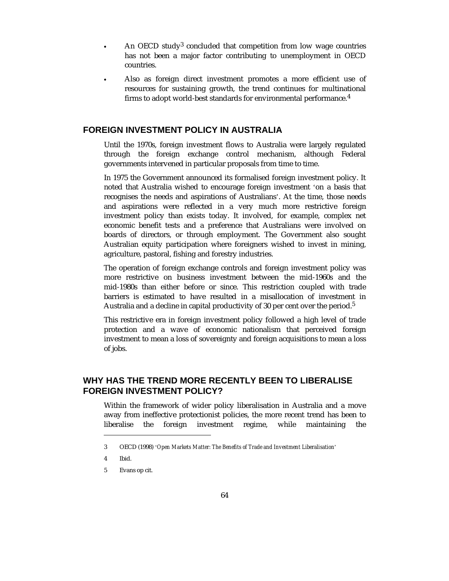- An OECD study<sup>3</sup> concluded that competition from low wage countries has not been a major factor contributing to unemployment in OECD countries.
- Also as foreign direct investment promotes a more efficient use of resources for sustaining growth, the trend continues for multinational firms to adopt world-best standards for environmental performance.<sup>4</sup>

## **FOREIGN INVESTMENT POLICY IN AUSTRALIA**

 $\overline{a}$ 

 $\ddot{\phantom{a}}$ 

Until the 1970s, foreign investment flows to Australia were largely regulated through the foreign exchange control mechanism, although Federal governments intervened in particular proposals from time to time.

In 1975 the Government announced its formalised foreign investment policy. It noted that Australia wished to encourage foreign investment 'on a basis that recognises the needs and aspirations of Australians'. At the time, those needs and aspirations were reflected in a very much more restrictive foreign investment policy than exists today. It involved, for example, complex net economic benefit tests and a preference that Australians were involved on boards of directors, or through employment. The Government also sought Australian equity participation where foreigners wished to invest in mining, agriculture, pastoral, fishing and forestry industries.

The operation of foreign exchange controls and foreign investment policy was more restrictive on business investment between the mid-1960s and the mid-1980s than either before or since. This restriction coupled with trade barriers is estimated to have resulted in a misallocation of investment in Australia and a decline in capital productivity of 30 per cent over the period.<sup>5</sup>

This restrictive era in foreign investment policy followed a high level of trade protection and a wave of economic nationalism that perceived foreign investment to mean a loss of sovereignty and foreign acquisitions to mean a loss of jobs.

# **WHY HAS THE TREND MORE RECENTLY BEEN TO LIBERALISE FOREIGN INVESTMENT POLICY?**

Within the framework of wider policy liberalisation in Australia and a move away from ineffective protectionist policies, the more recent trend has been to liberalise the foreign investment regime, while maintaining the

-

<sup>3</sup> OECD (1998) '*Open Markets Matter: The Benefits of Trade and Investment Liberalisation*'

<sup>4</sup> Ibid.

<sup>5</sup> Evans op cit.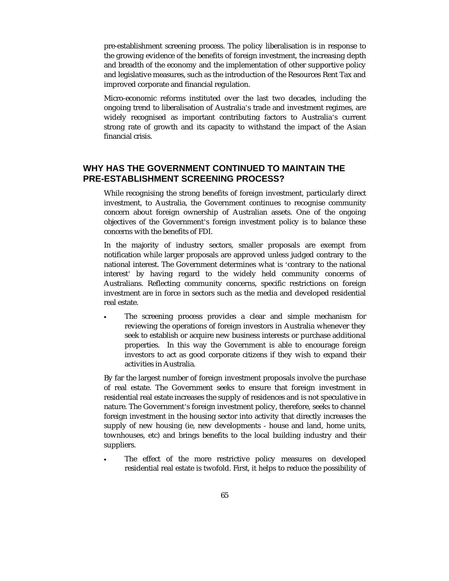pre-establishment screening process. The policy liberalisation is in response to the growing evidence of the benefits of foreign investment, the increasing depth and breadth of the economy and the implementation of other supportive policy and legislative measures, such as the introduction of the Resources Rent Tax and improved corporate and financial regulation.

Micro-economic reforms instituted over the last two decades, including the ongoing trend to liberalisation of Australia's trade and investment regimes, are widely recognised as important contributing factors to Australia's current strong rate of growth and its capacity to withstand the impact of the Asian financial crisis.

## **WHY HAS THE GOVERNMENT CONTINUED TO MAINTAIN THE PRE-ESTABLISHMENT SCREENING PROCESS?**

While recognising the strong benefits of foreign investment, particularly direct investment, to Australia, the Government continues to recognise community concern about foreign ownership of Australian assets. One of the ongoing objectives of the Government's foreign investment policy is to balance these concerns with the benefits of FDI.

In the majority of industry sectors, smaller proposals are exempt from notification while larger proposals are approved unless judged contrary to the national interest. The Government determines what is 'contrary to the national interest' by having regard to the widely held community concerns of Australians. Reflecting community concerns, specific restrictions on foreign investment are in force in sectors such as the media and developed residential real estate.

 $\overline{a}$  The screening process provides a clear and simple mechanism for reviewing the operations of foreign investors in Australia whenever they seek to establish or acquire new business interests or purchase additional properties. In this way the Government is able to encourage foreign investors to act as good corporate citizens if they wish to expand their activities in Australia.

By far the largest number of foreign investment proposals involve the purchase of real estate. The Government seeks to ensure that foreign investment in residential real estate increases the supply of residences and is not speculative in nature. The Government's foreign investment policy, therefore, seeks to channel foreign investment in the housing sector into activity that directly increases the supply of new housing (ie, new developments - house and land, home units, townhouses, etc) and brings benefits to the local building industry and their suppliers.

 $\overline{a}$  The effect of the more restrictive policy measures on developed residential real estate is twofold. First, it helps to reduce the possibility of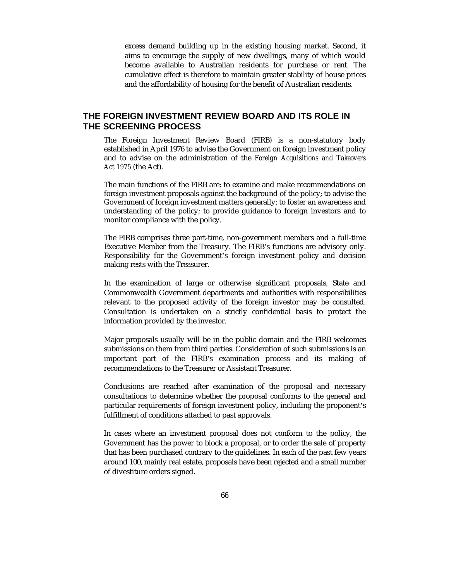excess demand building up in the existing housing market. Second, it aims to encourage the supply of new dwellings, many of which would become available to Australian residents for purchase or rent. The cumulative effect is therefore to maintain greater stability of house prices and the affordability of housing for the benefit of Australian residents.

## **THE FOREIGN INVESTMENT REVIEW BOARD AND ITS ROLE IN THE SCREENING PROCESS**

The Foreign Investment Review Board (FIRB) is a non-statutory body established in April 1976 to advise the Government on foreign investment policy and to advise on the administration of the *Foreign Acquisitions and Takeovers Act 1975* (the Act).

The main functions of the FIRB are: to examine and make recommendations on foreign investment proposals against the background of the policy; to advise the Government of foreign investment matters generally; to foster an awareness and understanding of the policy; to provide guidance to foreign investors and to monitor compliance with the policy.

The FIRB comprises three part-time, non-government members and a full-time Executive Member from the Treasury. The FIRB's functions are advisory only. Responsibility for the Government's foreign investment policy and decision making rests with the Treasurer.

In the examination of large or otherwise significant proposals, State and Commonwealth Government departments and authorities with responsibilities relevant to the proposed activity of the foreign investor may be consulted. Consultation is undertaken on a strictly confidential basis to protect the information provided by the investor.

Major proposals usually will be in the public domain and the FIRB welcomes submissions on them from third parties. Consideration of such submissions is an important part of the FIRB's examination process and its making of recommendations to the Treasurer or Assistant Treasurer.

Conclusions are reached after examination of the proposal and necessary consultations to determine whether the proposal conforms to the general and particular requirements of foreign investment policy, including the proponent's fulfillment of conditions attached to past approvals.

In cases where an investment proposal does not conform to the policy, the Government has the power to block a proposal, or to order the sale of property that has been purchased contrary to the guidelines. In each of the past few years around 100, mainly real estate, proposals have been rejected and a small number of divestiture orders signed.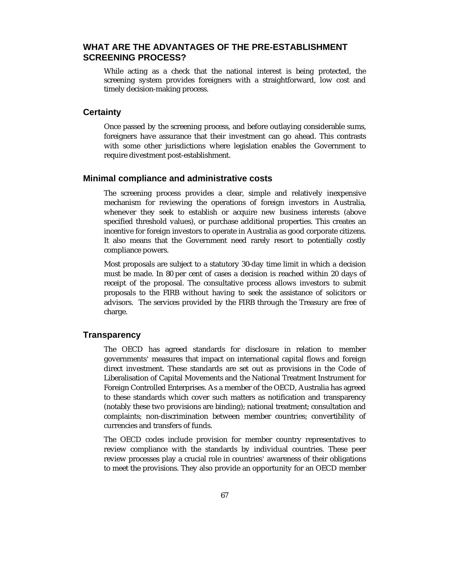## **WHAT ARE THE ADVANTAGES OF THE PRE-ESTABLISHMENT SCREENING PROCESS?**

While acting as a check that the national interest is being protected, the screening system provides foreigners with a straightforward, low cost and timely decision-making process.

#### **Certainty**

Once passed by the screening process, and before outlaying considerable sums, foreigners have assurance that their investment can go ahead. This contrasts with some other jurisdictions where legislation enables the Government to require divestment post-establishment.

#### **Minimal compliance and administrative costs**

The screening process provides a clear, simple and relatively inexpensive mechanism for reviewing the operations of foreign investors in Australia, whenever they seek to establish or acquire new business interests (above specified threshold values), or purchase additional properties. This creates an incentive for foreign investors to operate in Australia as good corporate citizens. It also means that the Government need rarely resort to potentially costly compliance powers.

Most proposals are subject to a statutory 30-day time limit in which a decision must be made. In 80 per cent of cases a decision is reached within 20 days of receipt of the proposal. The consultative process allows investors to submit proposals to the FIRB without having to seek the assistance of solicitors or advisors. The services provided by the FIRB through the Treasury are free of charge.

## **Transparency**

The OECD has agreed standards for disclosure in relation to member governments' measures that impact on international capital flows and foreign direct investment. These standards are set out as provisions in the Code of Liberalisation of Capital Movements and the National Treatment Instrument for Foreign Controlled Enterprises. As a member of the OECD, Australia has agreed to these standards which cover such matters as notification and transparency (notably these two provisions are binding); national treatment; consultation and complaints; non-discrimination between member countries; convertibility of currencies and transfers of funds.

The OECD codes include provision for member country representatives to review compliance with the standards by individual countries. These peer review processes play a crucial role in countries' awareness of their obligations to meet the provisions. They also provide an opportunity for an OECD member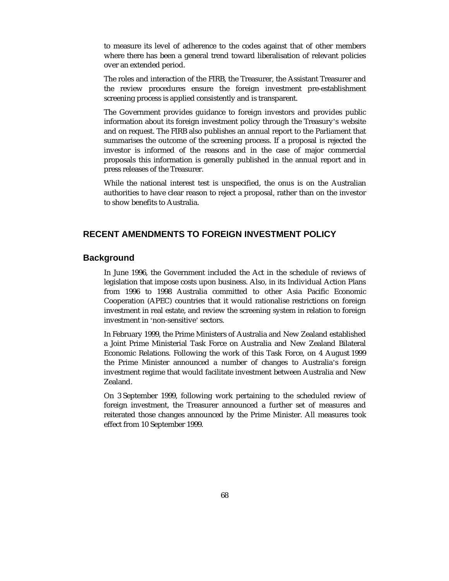to measure its level of adherence to the codes against that of other members where there has been a general trend toward liberalisation of relevant policies over an extended period.

The roles and interaction of the FIRB, the Treasurer, the Assistant Treasurer and the review procedures ensure the foreign investment pre-establishment screening process is applied consistently and is transparent.

The Government provides guidance to foreign investors and provides public information about its foreign investment policy through the Treasury's website and on request. The FIRB also publishes an annual report to the Parliament that summarises the outcome of the screening process. If a proposal is rejected the investor is informed of the reasons and in the case of major commercial proposals this information is generally published in the annual report and in press releases of the Treasurer.

While the national interest test is unspecified, the onus is on the Australian authorities to have clear reason to reject a proposal, rather than on the investor to show benefits to Australia.

## **RECENT AMENDMENTS TO FOREIGN INVESTMENT POLICY**

#### **Background**

In June 1996, the Government included the Act in the schedule of reviews of legislation that impose costs upon business. Also, in its Individual Action Plans from 1996 to 1998 Australia committed to other Asia Pacific Economic Cooperation (APEC) countries that it would rationalise restrictions on foreign investment in real estate, and review the screening system in relation to foreign investment in 'non-sensitive' sectors.

In February 1999, the Prime Ministers of Australia and New Zealand established a Joint Prime Ministerial Task Force on Australia and New Zealand Bilateral Economic Relations. Following the work of this Task Force, on 4 August 1999 the Prime Minister announced a number of changes to Australia's foreign investment regime that would facilitate investment between Australia and New Zealand.

On 3 September 1999, following work pertaining to the scheduled review of foreign investment, the Treasurer announced a further set of measures and reiterated those changes announced by the Prime Minister. All measures took effect from 10 September 1999.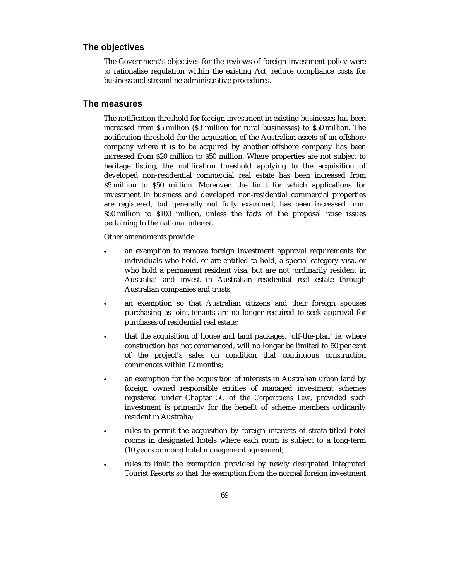#### **The objectives**

The Government's objectives for the reviews of foreign investment policy were to rationalise regulation within the existing Act, reduce compliance costs for business and streamline administrative procedures.

#### **The measures**

 $\bullet$ 

The notification threshold for foreign investment in existing businesses has been increased from \$5 million (\$3 million for rural businesses) to \$50 million. The notification threshold for the acquisition of the Australian assets of an offshore company where it is to be acquired by another offshore company has been increased from \$20 million to \$50 million. Where properties are not subject to heritage listing, the notification threshold applying to the acquisition of developed non-residential commercial real estate has been increased from \$5 million to \$50 million. Moreover, the limit for which applications for investment in business and developed non-residential commercial properties are registered, but generally not fully examined, has been increased from \$50 million to \$100 million, unless the facts of the proposal raise issues pertaining to the national interest.

Other amendments provide:

- $\bullet$  an exemption to remove foreign investment approval requirements for individuals who hold, or are entitled to hold, a special category visa, or who hold a permanent resident visa, but are not 'ordinarily resident in Australia' and invest in Australian residential real estate through Australian companies and trusts;
- $\bullet$  an exemption so that Australian citizens and their foreign spouses purchasing as joint tenants are no longer required to seek approval for purchases of residential real estate;
- $\bullet$  that the acquisition of house and land packages, 'off-the-plan' ie, where construction has not commenced, will no longer be limited to 50 per cent of the project's sales on condition that continuous construction commences within 12 months;
- $\bullet$  an exemption for the acquisition of interests in Australian urban land by foreign owned responsible entities of managed investment schemes registered under Chapter 5C of the *Corporations Law*, provided such investment is primarily for the benefit of scheme members ordinarily resident in Australia;
- $\bullet$  rules to permit the acquisition by foreign interests of strata-titled hotel rooms in designated hotels where each room is subject to a long-term (10 years or more) hotel management agreement;
	- rules to limit the exemption provided by newly designated Integrated Tourist Resorts so that the exemption from the normal foreign investment